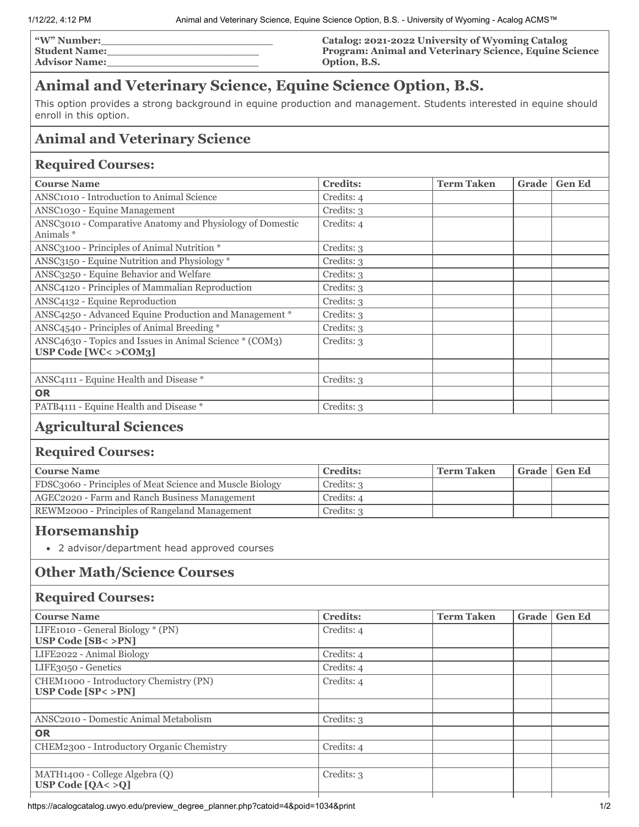| <b>W" Number:</b>    | Catalog: 2021-2022 University of Wyoming Catalog              |
|----------------------|---------------------------------------------------------------|
| <b>Student Name:</b> | <b>Program: Animal and Veterinary Science, Equine Science</b> |
| <b>Advisor Name:</b> | Option, B.S.                                                  |

# **Animal and Veterinary Science, Equine Science Option, B.S.**

This option provides a strong background in equine production and management. Students interested in equine should enroll in this option.

# **Animal and Veterinary Science**

#### **Required Courses:**

| <b>Course Name</b>                                                             | <b>Credits:</b> | <b>Term Taken</b> | <b>Grade</b> | <b>Gen Ed</b> |
|--------------------------------------------------------------------------------|-----------------|-------------------|--------------|---------------|
| ANSC1010 - Introduction to Animal Science                                      | Credits: 4      |                   |              |               |
| ANSC <sub>10</sub> 30 - Equine Management                                      | Credits: 3      |                   |              |               |
| ANSC3010 - Comparative Anatomy and Physiology of Domestic<br>Animals *         | Credits: 4      |                   |              |               |
| ANSC3100 - Principles of Animal Nutrition *                                    | Credits: 3      |                   |              |               |
| ANSC3150 - Equine Nutrition and Physiology *                                   | Credits: 3      |                   |              |               |
| ANSC3250 - Equine Behavior and Welfare                                         | Credits: 3      |                   |              |               |
| ANSC4120 - Principles of Mammalian Reproduction                                | Credits: 3      |                   |              |               |
| ANSC4132 - Equine Reproduction                                                 | Credits: 3      |                   |              |               |
| ANSC4250 - Advanced Equine Production and Management *                         | Credits: 3      |                   |              |               |
| ANSC4540 - Principles of Animal Breeding *                                     | Credits: 3      |                   |              |               |
| ANSC4630 - Topics and Issues in Animal Science * (COM3)<br>USP Code [WC<>COM3] | Credits: 3      |                   |              |               |
|                                                                                |                 |                   |              |               |
| ANSC4111 - Equine Health and Disease *                                         | Credits: 3      |                   |              |               |
| <b>OR</b>                                                                      |                 |                   |              |               |
| PATB4111 - Equine Health and Disease *                                         | Credits: 3      |                   |              |               |
| .                                                                              |                 |                   |              |               |

### **Agricultural Sciences**

#### **Required Courses:**

| <b>Course Name</b>                                       | <b>Credits:</b> | <b>Term Taken</b> | Grade   Gen Ed |
|----------------------------------------------------------|-----------------|-------------------|----------------|
| FDSC3060 - Principles of Meat Science and Muscle Biology | Credits: 3      |                   |                |
| AGEC2020 - Farm and Ranch Business Management            | Credits: 4      |                   |                |
| REWM2000 - Principles of Rangeland Management            | Credits: 3      |                   |                |
|                                                          |                 |                   |                |

# **Horsemanship**

2 advisor/department head approved courses

### **Other Math/Science Courses**

#### **Required Courses:**

| <b>Course Name</b>                                                        | <b>Credits:</b> | <b>Term Taken</b> | Grade | <b>Gen Ed</b> |
|---------------------------------------------------------------------------|-----------------|-------------------|-------|---------------|
| LIFE1010 - General Biology * (PN)<br><b>USP Code [SB&lt; &gt;PN]</b>      | Credits: 4      |                   |       |               |
| LIFE2022 - Animal Biology                                                 | Credits: 4      |                   |       |               |
| LIFE3050 - Genetics                                                       | Credits: 4      |                   |       |               |
| CHEM1000 - Introductory Chemistry (PN)<br><b>USP Code [SP&lt; &gt;PN]</b> | Credits: 4      |                   |       |               |
|                                                                           |                 |                   |       |               |
| ANSC <sub>2010</sub> - Domestic Animal Metabolism                         | Credits: 3      |                   |       |               |
| <b>OR</b>                                                                 |                 |                   |       |               |
| CHEM2300 - Introductory Organic Chemistry                                 | Credits: 4      |                   |       |               |
|                                                                           |                 |                   |       |               |
| MATH1400 - College Algebra (Q)<br>USP Code $[QA < > Q]$                   | Credits: 3      |                   |       |               |
|                                                                           |                 |                   |       |               |